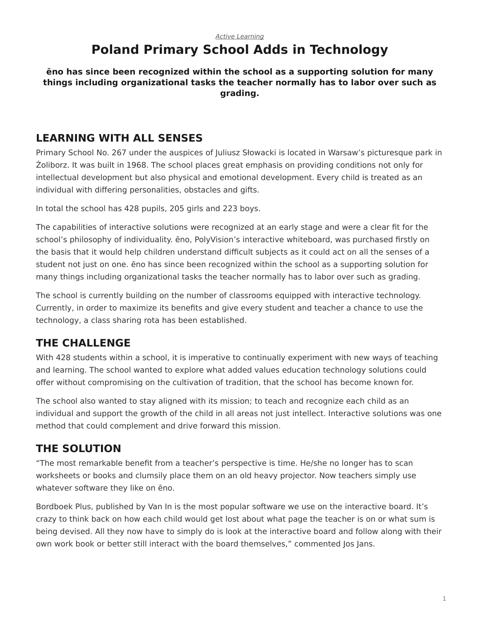# <span id="page-0-0"></span>**Poland Primary School Adds in Technology**

**ēno has since been recognized within the school as a supporting solution for many things including organizational tasks the teacher normally has to labor over such as grading.**

### **LEARNING WITH ALL SENSES**

Primary School No. 267 under the auspices of Juliusz Słowacki is located in Warsaw's picturesque park in Żoliborz. It was built in 1968. The school places great emphasis on providing conditions not only for intellectual development but also physical and emotional development. Every child is treated as an individual with differing personalities, obstacles and gifts.

In total the school has 428 pupils, 205 girls and 223 boys.

The capabilities of interactive solutions were recognized at an early stage and were a clear fit for the school's philosophy of individuality. ēno, PolyVision's interactive whiteboard, was purchased firstly on the basis that it would help children understand difficult subjects as it could act on all the senses of a student not just on one. ēno has since been recognized within the school as a supporting solution for many things including organizational tasks the teacher normally has to labor over such as grading.

The school is currently building on the number of classrooms equipped with interactive technology. Currently, in order to maximize its benefits and give every student and teacher a chance to use the technology, a class sharing rota has been established.

## **THE CHALLENGE**

With 428 students within a school, it is imperative to continually experiment with new ways of teaching and learning. The school wanted to explore what added values education technology solutions could offer without compromising on the cultivation of tradition, that the school has become known for.

The school also wanted to stay aligned with its mission; to teach and recognize each child as an individual and support the growth of the child in all areas not just intellect. Interactive solutions was one method that could complement and drive forward this mission.

# **THE SOLUTION**

"The most remarkable benefit from a teacher's perspective is time. He/she no longer has to scan worksheets or books and clumsily place them on an old heavy projector. Now teachers simply use whatever software they like on ēno.

Bordboek Plus, published by Van In is the most popular software we use on the interactive board. It's crazy to think back on how each child would get lost about what page the teacher is on or what sum is being devised. All they now have to simply do is look at the interactive board and follow along with their own work book or better still interact with the board themselves," commented Jos Jans.